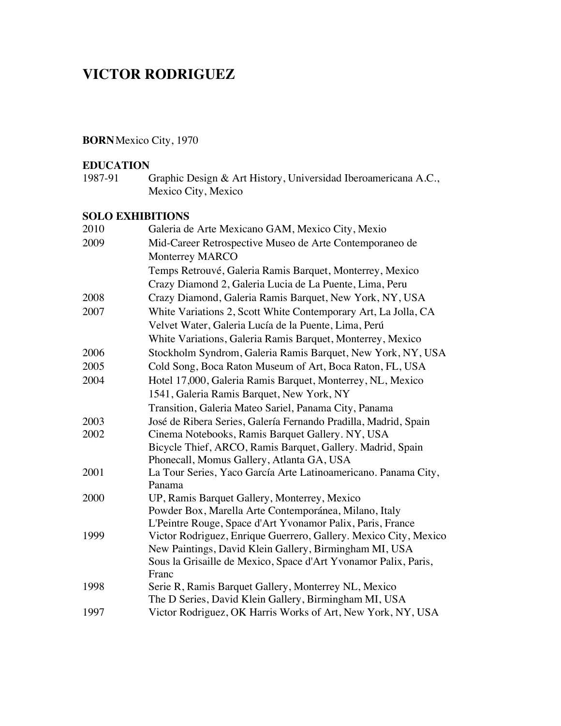# **VICTOR RODRIGUEZ**

# **BORN**Mexico City, 1970

# **EDUCATION**<br>1987-91 (

Graphic Design & Art History, Universidad Iberoamericana A.C., Mexico City, Mexico

## **SOLO EXHIBITIONS**

| 2010 | Galeria de Arte Mexicano GAM, Mexico City, Mexio                 |
|------|------------------------------------------------------------------|
| 2009 | Mid-Career Retrospective Museo de Arte Contemporaneo de          |
|      | <b>Monterrey MARCO</b>                                           |
|      | Temps Retrouvé, Galeria Ramis Barquet, Monterrey, Mexico         |
|      | Crazy Diamond 2, Galeria Lucia de La Puente, Lima, Peru          |
| 2008 | Crazy Diamond, Galeria Ramis Barquet, New York, NY, USA          |
| 2007 | White Variations 2, Scott White Contemporary Art, La Jolla, CA   |
|      | Velvet Water, Galeria Lucía de la Puente, Lima, Perú             |
|      | White Variations, Galeria Ramis Barquet, Monterrey, Mexico       |
| 2006 | Stockholm Syndrom, Galeria Ramis Barquet, New York, NY, USA      |
| 2005 | Cold Song, Boca Raton Museum of Art, Boca Raton, FL, USA         |
| 2004 | Hotel 17,000, Galeria Ramis Barquet, Monterrey, NL, Mexico       |
|      | 1541, Galeria Ramis Barquet, New York, NY                        |
|      | Transition, Galeria Mateo Sariel, Panama City, Panama            |
| 2003 | José de Ribera Series, Galería Fernando Pradilla, Madrid, Spain  |
| 2002 | Cinema Notebooks, Ramis Barquet Gallery. NY, USA                 |
|      | Bicycle Thief, ARCO, Ramis Barquet, Gallery. Madrid, Spain       |
|      | Phonecall, Momus Gallery, Atlanta GA, USA                        |
| 2001 | La Tour Series, Yaco García Arte Latinoamericano. Panama City,   |
|      | Panama                                                           |
| 2000 | UP, Ramis Barquet Gallery, Monterrey, Mexico                     |
|      | Powder Box, Marella Arte Contemporánea, Milano, Italy            |
|      | L'Peintre Rouge, Space d'Art Yvonamor Palix, Paris, France       |
| 1999 | Victor Rodriguez, Enrique Guerrero, Gallery. Mexico City, Mexico |
|      | New Paintings, David Klein Gallery, Birmingham MI, USA           |
|      | Sous la Grisaille de Mexico, Space d'Art Yvonamor Palix, Paris,  |
|      | Franc                                                            |
| 1998 | Serie R, Ramis Barquet Gallery, Monterrey NL, Mexico             |
|      | The D Series, David Klein Gallery, Birmingham MI, USA            |
| 1997 | Victor Rodriguez, OK Harris Works of Art, New York, NY, USA      |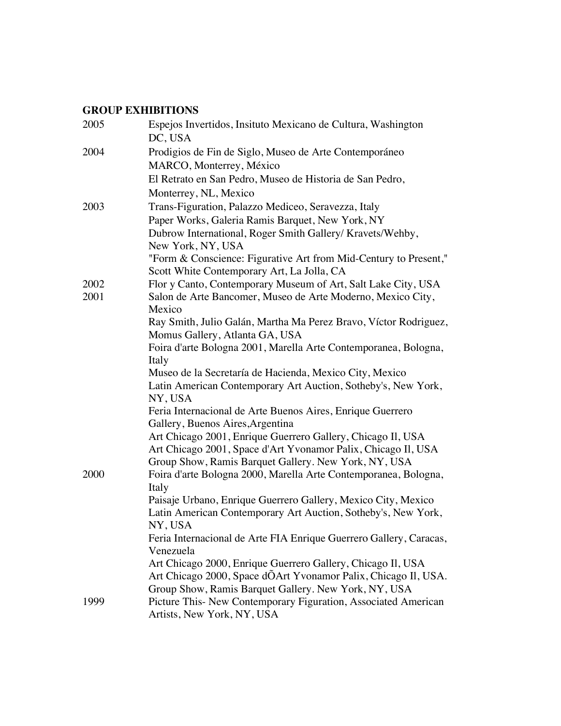# **GROUP EXHIBITIONS**

| 2005 | Espejos Invertidos, Insituto Mexicano de Cultura, Washington<br>DC, USA                                        |
|------|----------------------------------------------------------------------------------------------------------------|
| 2004 | Prodigios de Fin de Siglo, Museo de Arte Contemporáneo                                                         |
|      | MARCO, Monterrey, México                                                                                       |
|      | El Retrato en San Pedro, Museo de Historia de San Pedro,                                                       |
|      | Monterrey, NL, Mexico                                                                                          |
| 2003 | Trans-Figuration, Palazzo Mediceo, Seravezza, Italy                                                            |
|      | Paper Works, Galeria Ramis Barquet, New York, NY                                                               |
|      | Dubrow International, Roger Smith Gallery/ Kravets/Wehby,                                                      |
|      | New York, NY, USA                                                                                              |
|      | "Form & Conscience: Figurative Art from Mid-Century to Present,"<br>Scott White Contemporary Art, La Jolla, CA |
| 2002 | Flor y Canto, Contemporary Museum of Art, Salt Lake City, USA                                                  |
| 2001 | Salon de Arte Bancomer, Museo de Arte Moderno, Mexico City,<br>Mexico                                          |
|      | Ray Smith, Julio Galán, Martha Ma Perez Bravo, Víctor Rodriguez,                                               |
|      | Momus Gallery, Atlanta GA, USA                                                                                 |
|      | Foira d'arte Bologna 2001, Marella Arte Contemporanea, Bologna,                                                |
|      | Italy                                                                                                          |
|      | Museo de la Secretaría de Hacienda, Mexico City, Mexico                                                        |
|      | Latin American Contemporary Art Auction, Sotheby's, New York,<br>NY, USA                                       |
|      | Feria Internacional de Arte Buenos Aires, Enrique Guerrero                                                     |
|      | Gallery, Buenos Aires, Argentina                                                                               |
|      | Art Chicago 2001, Enrique Guerrero Gallery, Chicago Il, USA                                                    |
|      | Art Chicago 2001, Space d'Art Yvonamor Palix, Chicago II, USA                                                  |
|      | Group Show, Ramis Barquet Gallery. New York, NY, USA                                                           |
| 2000 | Foira d'arte Bologna 2000, Marella Arte Contemporanea, Bologna,                                                |
|      | Italy                                                                                                          |
|      | Paisaje Urbano, Enrique Guerrero Gallery, Mexico City, Mexico                                                  |
|      | Latin American Contemporary Art Auction, Sotheby's, New York,                                                  |
|      | NY. USA                                                                                                        |
|      | Feria Internacional de Arte FIA Enrique Guerrero Gallery, Caracas,<br>Venezuela                                |
|      | Art Chicago 2000, Enrique Guerrero Gallery, Chicago II, USA                                                    |
|      | Art Chicago 2000, Space dÕArt Yvonamor Palix, Chicago II, USA.                                                 |
|      | Group Show, Ramis Barquet Gallery. New York, NY, USA                                                           |
| 1999 | Picture This- New Contemporary Figuration, Associated American                                                 |
|      | Artists, New York, NY, USA                                                                                     |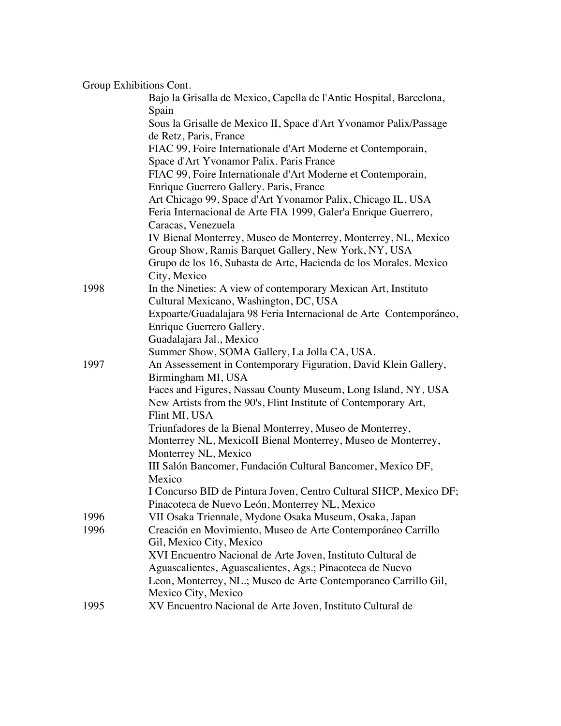| Group Exhibitions Cont. |                                                                                                                        |
|-------------------------|------------------------------------------------------------------------------------------------------------------------|
|                         | Bajo la Grisalla de Mexico, Capella de l'Antic Hospital, Barcelona,                                                    |
|                         | Spain                                                                                                                  |
|                         | Sous la Grisalle de Mexico II, Space d'Art Yvonamor Palix/Passage                                                      |
|                         | de Retz, Paris, France                                                                                                 |
|                         | FIAC 99, Foire Internationale d'Art Moderne et Contemporain,                                                           |
|                         | Space d'Art Yvonamor Palix. Paris France                                                                               |
|                         | FIAC 99, Foire Internationale d'Art Moderne et Contemporain,                                                           |
|                         | Enrique Guerrero Gallery. Paris, France                                                                                |
|                         | Art Chicago 99, Space d'Art Yvonamor Palix, Chicago IL, USA                                                            |
|                         | Feria Internacional de Arte FIA 1999, Galer'a Enrique Guerrero,                                                        |
|                         | Caracas, Venezuela                                                                                                     |
|                         | IV Bienal Monterrey, Museo de Monterrey, Monterrey, NL, Mexico<br>Group Show, Ramis Barquet Gallery, New York, NY, USA |
|                         | Grupo de los 16, Subasta de Arte, Hacienda de los Morales. Mexico                                                      |
|                         | City, Mexico                                                                                                           |
| 1998                    | In the Nineties: A view of contemporary Mexican Art, Instituto                                                         |
|                         | Cultural Mexicano, Washington, DC, USA                                                                                 |
|                         | Expoarte/Guadalajara 98 Feria Internacional de Arte Contemporáneo,                                                     |
|                         | Enrique Guerrero Gallery.                                                                                              |
|                         | Guadalajara Jal., Mexico                                                                                               |
|                         | Summer Show, SOMA Gallery, La Jolla CA, USA.                                                                           |
| 1997                    | An Assessement in Contemporary Figuration, David Klein Gallery,                                                        |
|                         | Birmingham MI, USA                                                                                                     |
|                         | Faces and Figures, Nassau County Museum, Long Island, NY, USA                                                          |
|                         | New Artists from the 90's, Flint Institute of Contemporary Art,<br>Flint MI, USA                                       |
|                         | Triunfadores de la Bienal Monterrey, Museo de Monterrey,                                                               |
|                         | Monterrey NL, MexicoII Bienal Monterrey, Museo de Monterrey,                                                           |
|                         | Monterrey NL, Mexico                                                                                                   |
|                         | III Salón Bancomer, Fundación Cultural Bancomer, Mexico DF,                                                            |
|                         | Mexico                                                                                                                 |
|                         | I Concurso BID de Pintura Joven, Centro Cultural SHCP, Mexico DF;                                                      |
|                         | Pinacoteca de Nuevo León, Monterrey NL, Mexico                                                                         |
| 1996                    | VII Osaka Triennale, Mydone Osaka Museum, Osaka, Japan                                                                 |
| 1996                    | Creación en Movimiento, Museo de Arte Contemporáneo Carrillo                                                           |
|                         | Gil, Mexico City, Mexico                                                                                               |
|                         | XVI Encuentro Nacional de Arte Joven, Instituto Cultural de                                                            |
|                         | Aguascalientes, Aguascalientes, Ags.; Pinacoteca de Nuevo                                                              |
|                         | Leon, Monterrey, NL.; Museo de Arte Contemporaneo Carrillo Gil,                                                        |
|                         | Mexico City, Mexico                                                                                                    |
| 1995                    | XV Encuentro Nacional de Arte Joven, Instituto Cultural de                                                             |